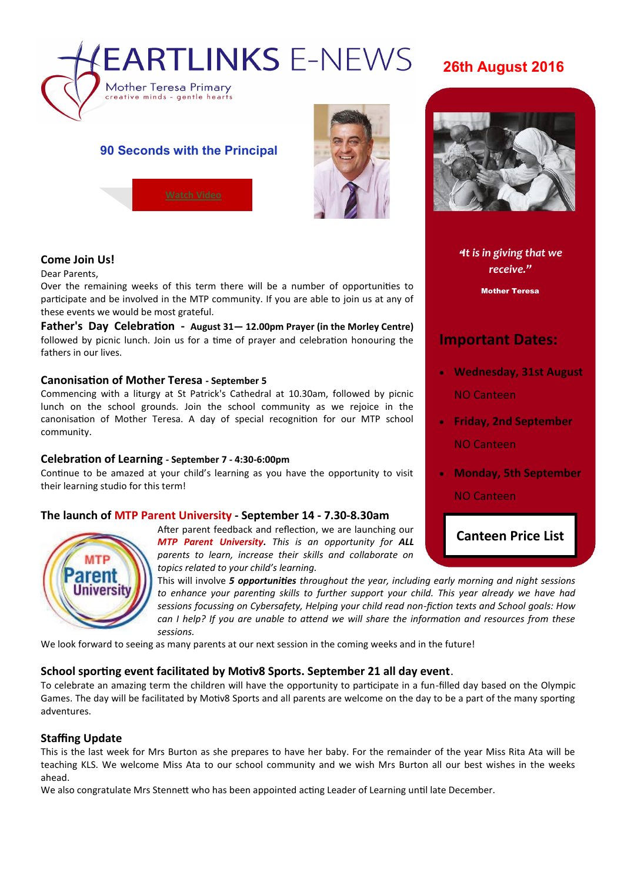

# **26th August 2016**

## **90 Seconds with the Principal**



#### **Come Join Us!**

Dear Parents,

Over the remaining weeks of this term there will be a number of opportunities to participate and be involved in the MTP community. If you are able to join us at any of these events we would be most grateful.

**Father's Day Celebration - August 31— 12.00pm Prayer (in the Morley Centre)**  followed by picnic lunch. Join us for a time of prayer and celebration honouring the fathers in our lives.

#### **Canonisation of Mother Teresa - September 5**

Commencing with a liturgy at St Patrick's Cathedral at 10.30am, followed by picnic lunch on the school grounds. Join the school community as we rejoice in the canonisation of Mother Teresa. A day of special recognition for our MTP school community.

#### **Celebration of Learning - September 7 - 4:30-6:00pm**

Continue to be amazed at your child's learning as you have the opportunity to visit their learning studio for this term!

#### **The launch of MTP Parent University - September 14 - 7.30-8.30am**



After parent feedback and reflection, we are launching our *MTP Parent University. This is an opportunity for ALL parents to learn, increase their skills and collaborate on topics related to your child's learning.*

This will involve *5 opportunities throughout the year, including early morning and night sessions to enhance your parenting skills to further support your child. This year already we have had sessions focussing on Cybersafety, Helping your child read non-fiction texts and School goals: How can I help? If you are unable to attend we will share the information and resources from these sessions.*

We look forward to seeing as many parents at our next session in the coming weeks and in the future!

#### **School sporting event facilitated by Motiv8 Sports. September 21 all day event**.

To celebrate an amazing term the children will have the opportunity to participate in a fun-filled day based on the Olympic Games. The day will be facilitated by Motiv8 Sports and all parents are welcome on the day to be a part of the many sporting adventures.

#### **Staffing Update**

This is the last week for Mrs Burton as she prepares to have her baby. For the remainder of the year Miss Rita Ata will be teaching KLS. We welcome Miss Ata to our school community and we wish Mrs Burton all our best wishes in the weeks ahead.

We also congratulate Mrs Stennett who has been appointed acting Leader of Learning until late December.

"*It is in giving that we* 

**N E W S L E R D A T E** 

*receive."*

Mother Teresa

# **Important Dates:**

- **Wednesday, 31st August** NO Canteen
- **Friday, 2nd September** NO Canteen
- **Monday, 5th September** NO Canteen